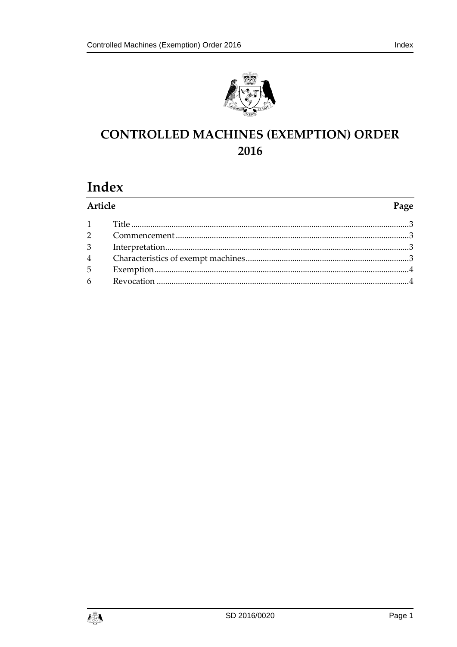



# **CONTROLLED MACHINES (EXEMPTION) ORDER** 2016

## Index

| Article         | Page |
|-----------------|------|
|                 |      |
|                 |      |
| 3 <sup>1</sup>  |      |
|                 |      |
|                 |      |
| $6\overline{6}$ |      |
|                 |      |

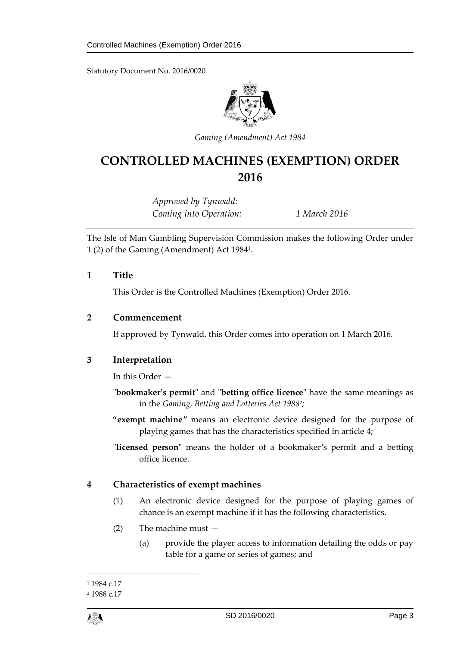Statutory Document No. 2016/0020



*Gaming (Amendment) Act 1984*

## **CONTROLLED MACHINES (EXEMPTION) ORDER 2016**

*Approved by Tynwald: Coming into Operation: 1 March 2016*

The Isle of Man Gambling Supervision Commission makes the following Order under 1 (2) of the Gaming (Amendment) Act 1984<sup>1</sup> .

#### <span id="page-2-0"></span>**1 Title**

This Order is the Controlled Machines (Exemption) Order 2016.

#### <span id="page-2-1"></span>**2 Commencement**

If approved by Tynwald, this Order comes into operation on 1 March 2016.

## <span id="page-2-2"></span>**3 Interpretation**

In this Order —

- "**bookmaker's permit**" and "**betting office licence**" have the same meanings as in the *Gaming, Betting and Lotteries Act 1988<sup>2</sup> ;*
- "**exempt machine**" means an electronic device designed for the purpose of playing games that has the characteristics specified in article [4;](#page-2-3)
- "**licensed person**" means the holder of a bookmaker's permit and a betting office licence.

## <span id="page-2-3"></span>**4 Characteristics of exempt machines**

- (1) An electronic device designed for the purpose of playing games of chance is an exempt machine if it has the following characteristics.
- (2) The machine must
	- (a) provide the player access to information detailing the odds or pay table for a game or series of games; and

 $\overline{a}$ 

<sup>&</sup>lt;sup>1</sup> 1984 c.17

<sup>2</sup> 1988 c.17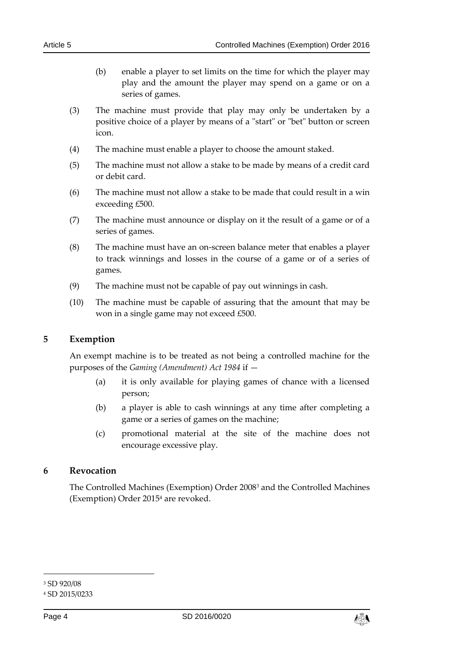- (b) enable a player to set limits on the time for which the player may play and the amount the player may spend on a game or on a series of games.
- (3) The machine must provide that play may only be undertaken by a positive choice of a player by means of a "start" or "bet" button or screen icon.
- (4) The machine must enable a player to choose the amount staked.
- (5) The machine must not allow a stake to be made by means of a credit card or debit card.
- (6) The machine must not allow a stake to be made that could result in a win exceeding £500.
- (7) The machine must announce or display on it the result of a game or of a series of games.
- (8) The machine must have an on-screen balance meter that enables a player to track winnings and losses in the course of a game or of a series of games.
- (9) The machine must not be capable of pay out winnings in cash.
- (10) The machine must be capable of assuring that the amount that may be won in a single game may not exceed £500.

#### <span id="page-3-0"></span>**5 Exemption**

An exempt machine is to be treated as not being a controlled machine for the purposes of the *Gaming (Amendment) Act 1984* if —

- (a) it is only available for playing games of chance with a licensed person;
- (b) a player is able to cash winnings at any time after completing a game or a series of games on the machine;
- (c) promotional material at the site of the machine does not encourage excessive play.

#### <span id="page-3-1"></span>**6 Revocation**

The Controlled Machines (Exemption) Order 2008<sup>3</sup> and the Controlled Machines (Exemption) Order 2015<sup>4</sup> are revoked.

-



<sup>3</sup> SD 920/08

<sup>4</sup> SD 2015/0233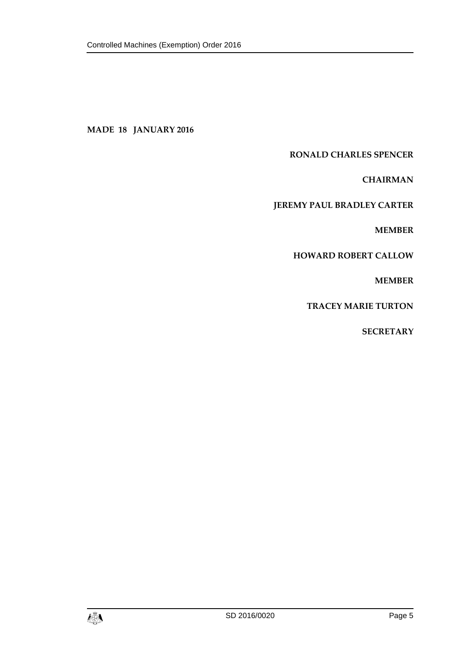#### **MADE 18 JANUARY 2016**

#### **RONALD CHARLES SPENCER**

**CHAIRMAN**

#### **JEREMY PAUL BRADLEY CARTER**

**MEMBER**

#### **HOWARD ROBERT CALLOW**

**MEMBER**

**TRACEY MARIE TURTON**

**SECRETARY**